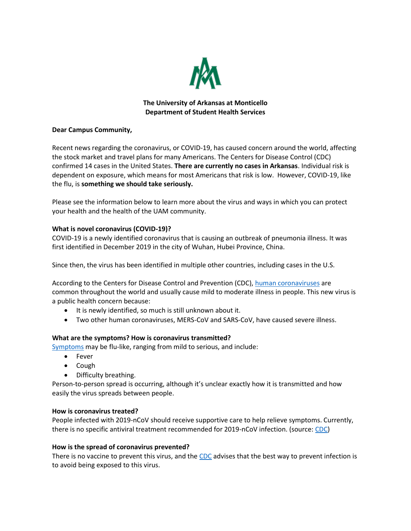

# **The University of Arkansas at Monticello Department of Student Health Services**

### **Dear Campus Community,**

Recent news regarding the coronavirus, or COVID-19, has caused concern around the world, affecting the stock market and travel plans for many Americans. The Centers for Disease Control (CDC) confirmed 14 cases in the United States. **There are currently no cases in Arkansas**. Individual risk is dependent on exposure, which means for most Americans that risk is low. However, COVID-19, like the flu, is **something we should take seriously.** 

Please see the information below to learn more about the virus and ways in which you can protect your health and the health of the UAM community.

# **What is novel coronavirus (COVID-19)?**

COVID-19 is a newly identified coronavirus that is causing an outbreak of pneumonia illness. It was first identified in December 2019 in the city of Wuhan, Hubei Province, China.

Since then, the virus has been identified in multiple other countries, including cases in the U.S.

According to the Centers for Disease Control and Prevention (CDC), [human coronaviruses](https://www.cdc.gov/coronavirus/index.html) are common throughout the world and usually cause mild to moderate illness in people. This new virus is a public health concern because:

- It is newly identified, so much is still unknown about it.
- Two other human coronaviruses, MERS-CoV and SARS-CoV, have caused severe illness.

### **What are the symptoms? How is coronavirus transmitted?**

[Symptoms](https://www.cdc.gov/coronavirus/2019-ncov/about/symptoms.html) may be flu-like, ranging from mild to serious, and include:

- Fever
- Cough
- Difficulty breathing.

Person-to-person spread is occurring, although it's unclear exactly how it is transmitted and how easily the virus spreads between people.

### **How is coronavirus treated?**

People infected with 2019-nCoV should receive supportive care to help relieve symptoms. Currently, there is no specific antiviral treatment recommended for 2019-nCoV infection. (source: [CDC\)](https://www.cdc.gov/coronavirus/2019-ncov/about/prevention-treatment.html)

### **How is the spread of coronavirus prevented?**

There is no vaccine to prevent this virus, and the [CDC](https://www.cdc.gov/coronavirus/2019-ncov/about/prevention-treatment.html) advises that the best way to prevent infection is to avoid being exposed to this virus.